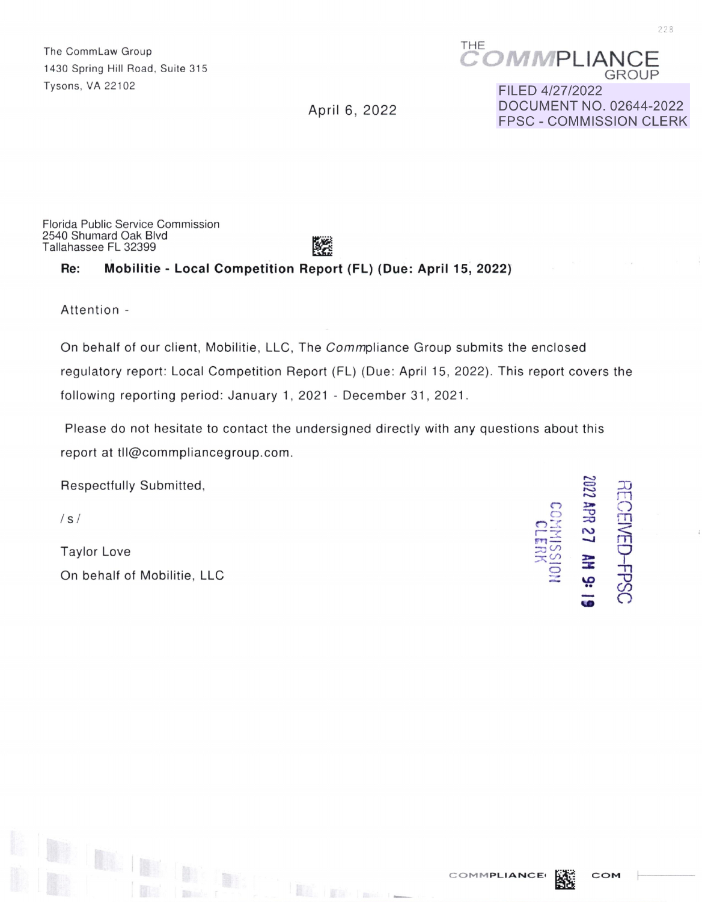The CommLaw Group THE 1430 Spring Hill Road, Suite 315 Tysons, VA 22102

**MMPLIANCE** GROUP

April 6, 2022

FILED 4/27/2022 DOCUMENT NO. 02644-2022 FPSC - COMMISSION CLERK

Florida Public Service Commission 2540 Shumard Oak Blvd Tallahassee FL 32399

# 飂

#### **Re: Mobilitie - Local Competition Report (FL) (Due: April 15, 2022)**

Attention -

On behalf of our client, Mobilitie, LLC, The Commpliance Group submits the enclosed regulatory report: Local Competition Report (FL) (Due: April 15, 2022). This report covers the following reporting period: January 1, 2021 - December 31, 2021.

Please do not hesitate to contact the undersigned directly with any questions about this report at tll@commpliancegroup.com.

 $\frac{1}{2}$   $\frac{1}{2}$   $\frac{1}{2}$   $\frac{1}{2}$   $\frac{1}{2}$   $\frac{1}{2}$   $\frac{1}{2}$   $\frac{1}{2}$   $\frac{1}{2}$   $\frac{1}{2}$   $\frac{1}{2}$   $\frac{1}{2}$ 

Respectfully Submitted,

/ s / **C)** 

Taylor Love ::0 (.I)  $\frac{1}{2}$   $\frac{1}{2}$   $\frac{1}{2}$   $\frac{1}{2}$   $\frac{1}{2}$   $\frac{1}{2}$   $\frac{1}{2}$   $\frac{1}{2}$   $\frac{1}{2}$   $\frac{1}{2}$   $\frac{1}{2}$   $\frac{1}{2}$   $\frac{1}{2}$   $\frac{1}{2}$   $\frac{1}{2}$   $\frac{1}{2}$   $\frac{1}{2}$   $\frac{1}{2}$   $\frac{1}{2}$   $\frac{1}{2}$ 

 $\mathbb{R}_{\mathbb{Z}}$ 



**COMMPLIANCE MAP COM** 



7?3